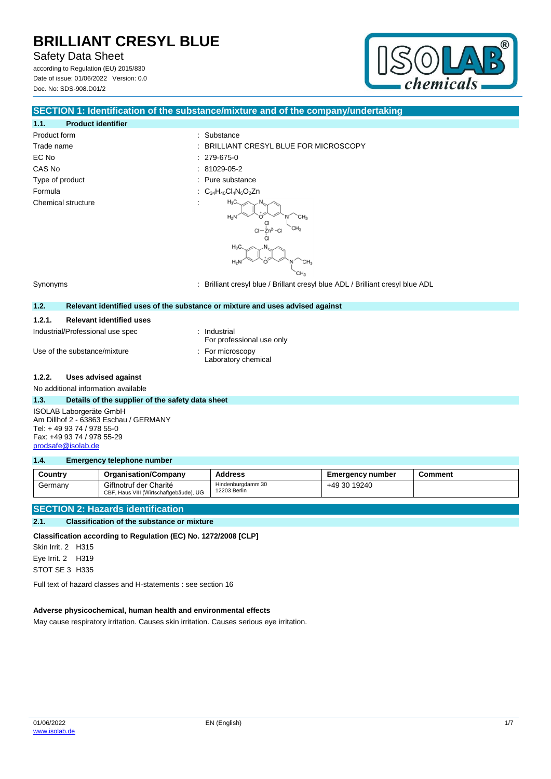Safety Data Sheet

according to Regulation (EU) 2015/830 Date of issue: 01/06/2022 Version: 0.0 Doc. No: SDS-908.D01/2



#### **SECTION 1: Identification of the substance/mixture and of the company/undertaking**

#### **1.1. Product identifier** Product form  $\qquad \qquad$ : Substance Trade name  $\qquad \qquad : \qquad$  BRILLIANT CRESYL BLUE FOR MICROSCOPY EC No : 279-675-0 CAS No : 81029-05-2 Type of product in the substance in the substance in the substance in the substance Formula  $C_{34}H_{40}Cl_4N_6O_2Zn$ Chemical structure

# $H_3C$



Synonyms : Brilliant cresyl blue / Brillant cresyl blue ADL / Brilliant cresyl blue ADL

#### **1.2. Relevant identified uses of the substance or mixture and uses advised against**

#### **1.2.1. Relevant identified uses**

Industrial/Professional use spec : Industrial

Use of the substance/mixture **in the substance/mixture** in the substance in the substance of the substance in the substance in the substance in the substance in the substance in the substance in the substance in the substa

- For professional use only
- Laboratory chemical

#### **1.2.2. Uses advised against**

No additional information available

#### **1.3. Details of the supplier of the safety data sheet**

ISOLAB Laborgeräte GmbH Am Dillhof 2 - 63863 Eschau / GERMANY Tel: + 49 93 74 / 978 55-0 Fax: +49 93 74 / 978 55-29 [prodsafe@isolab.de](mailto:prodsafe@isolab.de)

#### **1.4. Emergency telephone number**

| Country | <b>Organisation/Company</b>                                      | <b>Address</b>                    | Emergency number | Comment |
|---------|------------------------------------------------------------------|-----------------------------------|------------------|---------|
| Germany | Giftnotruf der Charité<br>CBF, Haus VIII (Wirtschaftgebäude), UG | Hindenburgdamm 30<br>12203 Berlin | +49 30 19240     |         |

#### **SECTION 2: Hazards identification**

#### **2.1. Classification of the substance or mixture**

**Classification according to Regulation (EC) No. 1272/2008 [CLP]**

Skin Irrit. 2 H315 Eye Irrit. 2 H319 STOT SE 3 H335

Full text of hazard classes and H-statements : see section 16

#### **Adverse physicochemical, human health and environmental effects**

May cause respiratory irritation. Causes skin irritation. Causes serious eye irritation.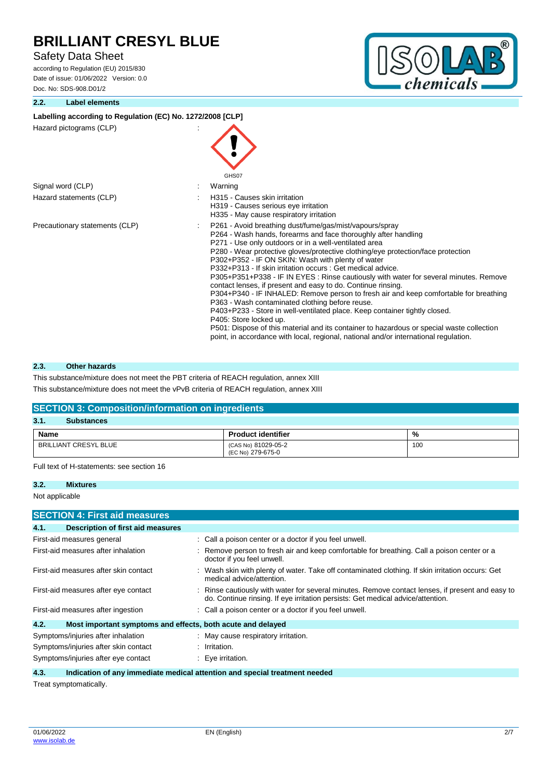#### Safety Data Sheet

according to Regulation (EU) 2015/830 Date of issue: 01/06/2022 Version: 0.0 Doc. No: SDS-908.D01/2

#### **2.2. Label elements**



#### Labelling according to Regulation (EC) No. 1272/2008 [CLP]

Hazard pictograms (CLP) :

|                                | GHS07                                                                                                                                                                                                                                                                                                                                                                                                                                                                                                                                                                                                                                                                                                                                                                                                                                                                                                                                                                                        |
|--------------------------------|----------------------------------------------------------------------------------------------------------------------------------------------------------------------------------------------------------------------------------------------------------------------------------------------------------------------------------------------------------------------------------------------------------------------------------------------------------------------------------------------------------------------------------------------------------------------------------------------------------------------------------------------------------------------------------------------------------------------------------------------------------------------------------------------------------------------------------------------------------------------------------------------------------------------------------------------------------------------------------------------|
| Signal word (CLP)              | Warning                                                                                                                                                                                                                                                                                                                                                                                                                                                                                                                                                                                                                                                                                                                                                                                                                                                                                                                                                                                      |
| Hazard statements (CLP)        | H315 - Causes skin irritation<br>H319 - Causes serious eye irritation<br>H335 - May cause respiratory irritation                                                                                                                                                                                                                                                                                                                                                                                                                                                                                                                                                                                                                                                                                                                                                                                                                                                                             |
| Precautionary statements (CLP) | P261 - Avoid breathing dust/fume/gas/mist/vapours/spray<br>P264 - Wash hands, forearms and face thoroughly after handling<br>P271 - Use only outdoors or in a well-ventilated area<br>P280 - Wear protective gloves/protective clothing/eye protection/face protection<br>P302+P352 - IF ON SKIN: Wash with plenty of water<br>P332+P313 - If skin irritation occurs : Get medical advice.<br>P305+P351+P338 - IF IN EYES : Rinse cautiously with water for several minutes. Remove<br>contact lenses, if present and easy to do. Continue rinsing.<br>P304+P340 - IF INHALED: Remove person to fresh air and keep comfortable for breathing<br>P363 - Wash contaminated clothing before reuse.<br>P403+P233 - Store in well-ventilated place. Keep container tightly closed.<br>P405: Store locked up.<br>P501: Dispose of this material and its container to hazardous or special waste collection<br>point, in accordance with local, regional, national and/or international regulation. |

#### **2.3. Other hazards**

This substance/mixture does not meet the PBT criteria of REACH regulation, annex XIII

This substance/mixture does not meet the vPvB criteria of REACH regulation, annex XIII

#### **SECTION 3: Composition/information on ingredients**

| 3.1<br><b>Substances</b> |                                          |     |
|--------------------------|------------------------------------------|-----|
| Name                     | <b>Product identifier</b>                | %   |
| BRILLIANT CRESYL BLUE    | (CAS No) 81029-05-2<br>(EC No) 279-675-0 | 100 |

Full text of H-statements: see section 16

#### **3.2. Mixtures**

Not applicable

| <b>SECTION 4: First aid measures</b>                                |                                                                                                                                                                                     |  |  |  |
|---------------------------------------------------------------------|-------------------------------------------------------------------------------------------------------------------------------------------------------------------------------------|--|--|--|
| 4.1.<br>Description of first aid measures                           |                                                                                                                                                                                     |  |  |  |
| First-aid measures general                                          | : Call a poison center or a doctor if you feel unwell.                                                                                                                              |  |  |  |
| First-aid measures after inhalation                                 | : Remove person to fresh air and keep comfortable for breathing. Call a poison center or a<br>doctor if you feel unwell.                                                            |  |  |  |
| First-aid measures after skin contact                               | : Wash skin with plenty of water. Take off contaminated clothing. If skin irritation occurs: Get<br>medical advice/attention.                                                       |  |  |  |
| First-aid measures after eye contact                                | : Rinse cautiously with water for several minutes. Remove contact lenses, if present and easy to<br>do. Continue rinsing. If eye irritation persists: Get medical advice/attention. |  |  |  |
| First-aid measures after ingestion                                  | : Call a poison center or a doctor if you feel unwell.                                                                                                                              |  |  |  |
| 4.2.<br>Most important symptoms and effects, both acute and delayed |                                                                                                                                                                                     |  |  |  |
| Symptoms/injuries after inhalation                                  | : May cause respiratory irritation.                                                                                                                                                 |  |  |  |
| Symptoms/injuries after skin contact                                | : Irritation.                                                                                                                                                                       |  |  |  |
| Symptoms/injuries after eye contact                                 | : Eye irritation.                                                                                                                                                                   |  |  |  |

**4.3. Indication of any immediate medical attention and special treatment needed**

Treat symptomatically.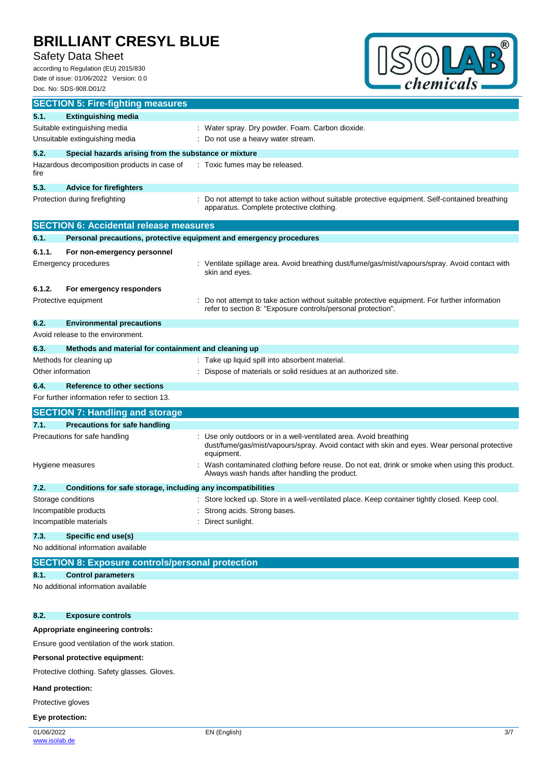### Safety Data Sheet

according to Regulation (EU) 2015/830 Date of issue: 01/06/2022 Version: 0.0 Doc. No: SDS-908.D01/2



|                                              | <b>SECTION 5: Fire-fighting measures</b>                            |                                                                                                                                                                               |  |
|----------------------------------------------|---------------------------------------------------------------------|-------------------------------------------------------------------------------------------------------------------------------------------------------------------------------|--|
| 5.1.                                         | <b>Extinguishing media</b>                                          |                                                                                                                                                                               |  |
|                                              | Suitable extinguishing media                                        | : Water spray. Dry powder. Foam. Carbon dioxide.                                                                                                                              |  |
| Unsuitable extinguishing media               |                                                                     | : Do not use a heavy water stream.                                                                                                                                            |  |
| 5.2.                                         | Special hazards arising from the substance or mixture               |                                                                                                                                                                               |  |
| fire                                         | Hazardous decomposition products in case of                         | : Toxic fumes may be released.                                                                                                                                                |  |
| 5.3.                                         | <b>Advice for firefighters</b>                                      |                                                                                                                                                                               |  |
|                                              | Protection during firefighting                                      | Do not attempt to take action without suitable protective equipment. Self-contained breathing<br>apparatus. Complete protective clothing.                                     |  |
|                                              | <b>SECTION 6: Accidental release measures</b>                       |                                                                                                                                                                               |  |
| 6.1.                                         | Personal precautions, protective equipment and emergency procedures |                                                                                                                                                                               |  |
| 6.1.1.                                       | For non-emergency personnel                                         |                                                                                                                                                                               |  |
| <b>Emergency procedures</b>                  |                                                                     | : Ventilate spillage area. Avoid breathing dust/fume/gas/mist/vapours/spray. Avoid contact with<br>skin and eyes.                                                             |  |
| 6.1.2.                                       | For emergency responders                                            |                                                                                                                                                                               |  |
| Protective equipment                         |                                                                     | Do not attempt to take action without suitable protective equipment. For further information<br>refer to section 8: "Exposure controls/personal protection".                  |  |
| 6.2.                                         | <b>Environmental precautions</b>                                    |                                                                                                                                                                               |  |
|                                              | Avoid release to the environment.                                   |                                                                                                                                                                               |  |
| 6.3.                                         | Methods and material for containment and cleaning up                |                                                                                                                                                                               |  |
|                                              | Methods for cleaning up                                             | : Take up liquid spill into absorbent material.                                                                                                                               |  |
| Other information                            |                                                                     | Dispose of materials or solid residues at an authorized site.                                                                                                                 |  |
| 6.4.                                         | <b>Reference to other sections</b>                                  |                                                                                                                                                                               |  |
|                                              | For further information refer to section 13.                        |                                                                                                                                                                               |  |
|                                              | <b>SECTION 7: Handling and storage</b>                              |                                                                                                                                                                               |  |
| 7.1.                                         | <b>Precautions for safe handling</b>                                |                                                                                                                                                                               |  |
|                                              | Precautions for safe handling                                       | Use only outdoors or in a well-ventilated area. Avoid breathing<br>dust/fume/gas/mist/vapours/spray. Avoid contact with skin and eyes. Wear personal protective<br>equipment. |  |
| Hygiene measures                             |                                                                     | Wash contaminated clothing before reuse. Do not eat, drink or smoke when using this product.<br>Always wash hands after handling the product.                                 |  |
| 7.2.                                         | Conditions for safe storage, including any incompatibilities        |                                                                                                                                                                               |  |
| Storage conditions                           |                                                                     | Store locked up. Store in a well-ventilated place. Keep container tightly closed. Keep cool.                                                                                  |  |
| Incompatible products                        |                                                                     | Strong acids. Strong bases.                                                                                                                                                   |  |
| Incompatible materials                       |                                                                     | Direct sunlight.                                                                                                                                                              |  |
| 7.3.                                         | Specific end use(s)                                                 |                                                                                                                                                                               |  |
|                                              | No additional information available                                 |                                                                                                                                                                               |  |
|                                              | <b>SECTION 8: Exposure controls/personal protection</b>             |                                                                                                                                                                               |  |
| 8.1.                                         | <b>Control parameters</b>                                           |                                                                                                                                                                               |  |
|                                              | No additional information available                                 |                                                                                                                                                                               |  |
| 8.2.                                         | <b>Exposure controls</b>                                            |                                                                                                                                                                               |  |
|                                              | Appropriate engineering controls:                                   |                                                                                                                                                                               |  |
| Ensure good ventilation of the work station. |                                                                     |                                                                                                                                                                               |  |
|                                              |                                                                     |                                                                                                                                                                               |  |

**Personal protective equipment:**

Protective clothing. Safety glasses. Gloves.

#### **Hand protection:**

Protective gloves

#### **Eye protection:**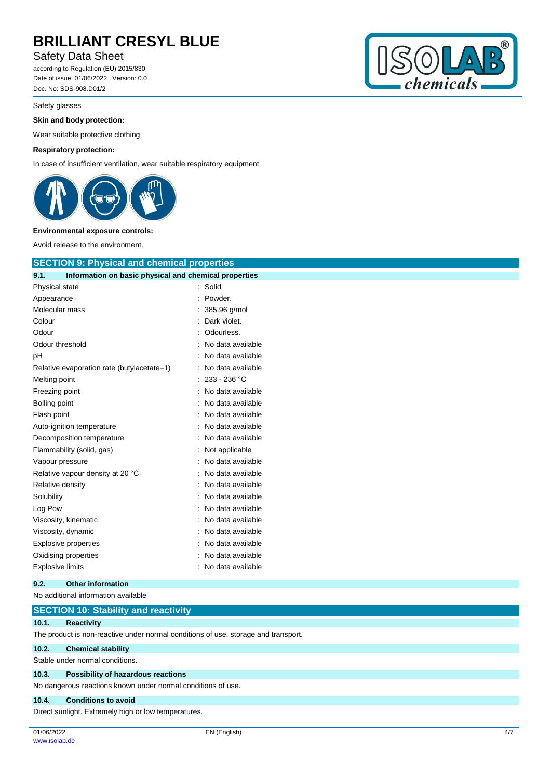#### Safety Data Sheet

according to Regulation (EU) 2015/830 Date of issue: 01/06/2022 Version: 0.0 Doc. No: SDS-908.D01/2

#### Safety glasses

#### **Skin and body protection:**

Wear suitable protective clothing

#### **Respiratory protection:**

In case of insufficient ventilation, wear suitable respiratory equipment



#### **Environmental exposure controls:**

Avoid release to the environment.

| <b>SECTION 9: Physical and chemical properties</b>            |                   |
|---------------------------------------------------------------|-------------------|
| Information on basic physical and chemical properties<br>9.1. |                   |
| Physical state                                                | Solid<br>t        |
| Appearance                                                    | Powder.           |
| Molecular mass                                                | 385.96 g/mol      |
| Colour                                                        | Dark violet.      |
| Odour                                                         | Odourless.        |
| Odour threshold                                               | No data available |
| рH                                                            | No data available |
| Relative evaporation rate (butylacetate=1)                    | No data available |
| Melting point                                                 | 233 - 236 °C      |
| Freezing point                                                | No data available |
| Boiling point                                                 | No data available |
| Flash point                                                   | No data available |
| Auto-ignition temperature                                     | No data available |
| Decomposition temperature                                     | No data available |
| Flammability (solid, gas)                                     | Not applicable    |
| Vapour pressure                                               | No data available |
| Relative vapour density at 20 °C                              | No data available |
| Relative density                                              | No data available |
| Solubility                                                    | No data available |
| Log Pow                                                       | No data available |
| Viscosity, kinematic                                          | No data available |
| Viscosity, dynamic                                            | No data available |
| <b>Explosive properties</b>                                   | No data available |
| Oxidising properties                                          | No data available |
| <b>Explosive limits</b>                                       | No data available |
|                                                               |                   |

**9.2. Other information** No additional information available **SECTION 10: Stability and reactivity 10.1. Reactivity** The product is non-reactive under normal conditions of use, storage and transport. **10.2. Chemical stability** Stable under normal conditions. **10.3. Possibility of hazardous reactions** No dangerous reactions known under normal conditions of use. **10.4. Conditions to avoid** Direct sunlight. Extremely high or low temperatures.

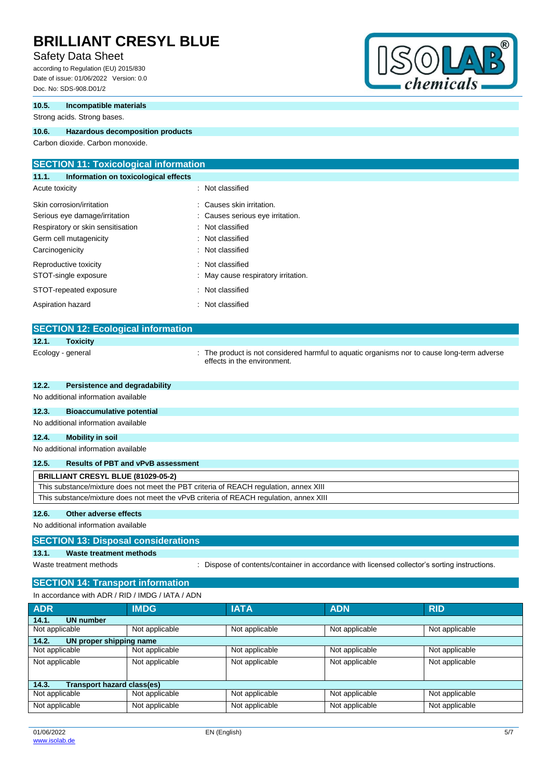#### Safety Data Sheet

according to Regulation (EU) 2015/830 Date of issue: 01/06/2022 Version: 0.0 Doc. No: SDS-908.D01/2

#### **10.5. Incompatible materials**

Strong acids. Strong bases.

#### **10.6. Hazardous decomposition products**

Carbon dioxide. Carbon monoxide.

#### **SECTION 11: Toxicological information 11.1. Information on toxicological effects**

| Acute toxicity                    | : Not classified                    |
|-----------------------------------|-------------------------------------|
| Skin corrosion/irritation         | : Causes skin irritation.           |
| Serious eye damage/irritation     | : Causes serious eye irritation.    |
| Respiratory or skin sensitisation | : Not classified                    |
| Germ cell mutagenicity            | : Not classified                    |
| Carcinogenicity                   | : Not classified                    |
| Reproductive toxicity             | : Not classified                    |
| STOT-single exposure              | : May cause respiratory irritation. |
| STOT-repeated exposure            | : Not classified                    |
| Aspiration hazard                 | : Not classified                    |

### **SECTION 12: Ecological information 12.1. Toxicity**

Ecology - general state of the product is not considered harmful to aquatic organisms nor to cause long-term adverse effects in the environment.

#### **12.2. Persistence and degradability**

No additional information available

#### **12.3. Bioaccumulative potential**

No additional information available

#### **12.4. Mobility in soil**

No additional information available

#### **12.5. Results of PBT and vPvB assessment**

| <b>BRILLIANT CRESYL BLUE (81029-05-2)</b>                                              |
|----------------------------------------------------------------------------------------|
| This substance/mixture does not meet the PBT criteria of REACH regulation, annex XIII  |
| This substance/mixture does not meet the vPvB criteria of REACH regulation, annex XIII |
|                                                                                        |

#### **12.6. Other adverse effects**

No additional information available

#### **SECTION 13: Disposal considerations**

**13.1. Waste treatment methods**

Waste treatment methods : Dispose of contents/container in accordance with licensed collector's sorting instructions.

#### **SECTION 14: Transport information**

In accordance with ADR / RID / IMDG / IATA / ADN

| <b>ADR</b>                          | <b>IMDG</b>    | <b>IATA</b>    | <b>ADN</b>     | <b>RID</b>     |  |
|-------------------------------------|----------------|----------------|----------------|----------------|--|
| <b>UN number</b><br>14.1.           |                |                |                |                |  |
| Not applicable                      | Not applicable | Not applicable | Not applicable | Not applicable |  |
| UN proper shipping name<br>14.2.    |                |                |                |                |  |
| Not applicable                      | Not applicable | Not applicable | Not applicable | Not applicable |  |
| Not applicable                      | Not applicable | Not applicable | Not applicable | Not applicable |  |
|                                     |                |                |                |                |  |
| Transport hazard class(es)<br>14.3. |                |                |                |                |  |
| Not applicable                      | Not applicable | Not applicable | Not applicable | Not applicable |  |
| Not applicable                      | Not applicable | Not applicable | Not applicable | Not applicable |  |

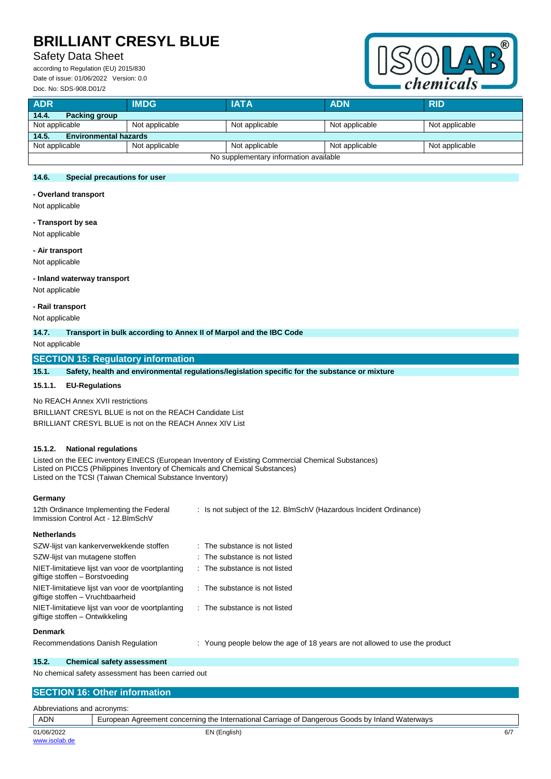#### Safety Data Sheet

according to Regulation (EU) 2015/830 Date of issue: 01/06/2022 Version: 0.0 Doc. No: SDS-908.D01/2



| <b>ADR</b>                             | <b>IMDG</b>    | <b>IATA</b>    | <b>ADN</b>     | <b>RID</b>     |
|----------------------------------------|----------------|----------------|----------------|----------------|
| 14.4.<br>Packing group                 |                |                |                |                |
| Not applicable                         | Not applicable | Not applicable | Not applicable | Not applicable |
| 14.5.<br><b>Environmental hazards</b>  |                |                |                |                |
| Not applicable                         | Not applicable | Not applicable | Not applicable | Not applicable |
| No supplementary information available |                |                |                |                |

#### **14.6. Special precautions for user**

**- Overland transport**

Not applicable

#### **- Transport by sea**

Not applicable

#### **- Air transport**

Not applicable

#### **- Inland waterway transport**

Not applicable

#### **- Rail transport**

Not applicable

#### **14.7. Transport in bulk according to Annex II of Marpol and the IBC Code**

Not applicable

#### **SECTION 15: Regulatory information**

**15.1. Safety, health and environmental regulations/legislation specific for the substance or mixture**

#### **15.1.1. EU-Regulations**

No REACH Annex XVII restrictions BRILLIANT CRESYL BLUE is not on the REACH Candidate List BRILLIANT CRESYL BLUE is not on the REACH Annex XIV List

#### **15.1.2. National regulations**

Listed on the EEC inventory EINECS (European Inventory of Existing Commercial Chemical Substances) Listed on PICCS (Philippines Inventory of Chemicals and Chemical Substances) Listed on the TCSI (Taiwan Chemical Substance Inventory)

#### **Germany**

| 12th Ordinance Implementing the Federal<br>Immission Control Act - 12. BlmSchV       | : Is not subject of the 12. BlmSchV (Hazardous Incident Ordinance)          |
|--------------------------------------------------------------------------------------|-----------------------------------------------------------------------------|
| <b>Netherlands</b>                                                                   |                                                                             |
| SZW-lijst van kankerverwekkende stoffen                                              | $\therefore$ The substance is not listed                                    |
| SZW-lijst van mutagene stoffen                                                       | $\therefore$ The substance is not listed                                    |
| NIET-limitatieve lijst van voor de voortplanting<br>giftige stoffen - Borstvoeding   | $\therefore$ The substance is not listed                                    |
| NIET-limitatieve lijst van voor de voortplanting<br>giftige stoffen – Vruchtbaarheid | $\therefore$ The substance is not listed                                    |
| NIET-limitatieve lijst van voor de voortplanting<br>giftige stoffen - Ontwikkeling   | $\therefore$ The substance is not listed                                    |
| <b>Denmark</b>                                                                       |                                                                             |
| Recommendations Danish Regulation                                                    | : Young people below the age of 18 years are not allowed to use the product |

#### **15.2. Chemical safety assessment**

No chemical safety assessment has been carried out

#### **SECTION 16: Other information**

| Abbreviations and acronyms: |                                                                                                 |     |
|-----------------------------|-------------------------------------------------------------------------------------------------|-----|
| <b>ADN</b>                  | European Agreement concerning the International Carriage of Dangerous Goods by Inland Waterways |     |
| 01/06/2022                  | EN (English)                                                                                    | 6/7 |
| www.isolab.de               |                                                                                                 |     |